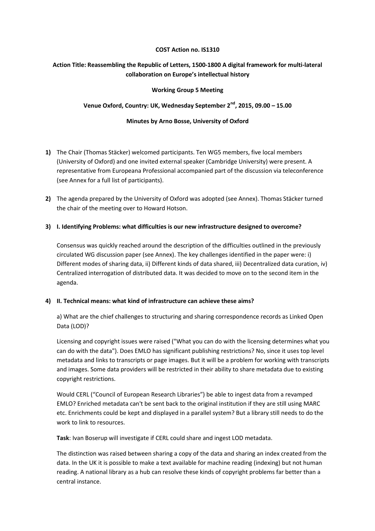#### **COST Action no. IS1310**

# **Action Title: Reassembling the Republic of Letters, 1500-1800 A digital framework for multi-lateral collaboration on Europe's intellectual history**

### **Working Group 5 Meeting**

## **Venue Oxford, Country: UK, Wednesday September 2nd, 2015, 09.00 – 15.00**

### **Minutes by Arno Bosse, University of Oxford**

- **1)** The Chair (Thomas Stäcker) welcomed participants. Ten WG5 members, five local members (University of Oxford) and one invited external speaker (Cambridge University) were present. A representative from Europeana Professional accompanied part of the discussion via teleconference (see Annex for a full list of participants).
- **2)** The agenda prepared by the University of Oxford was adopted (see Annex). Thomas Stäcker turned the chair of the meeting over to Howard Hotson.

### **3) I. Identifying Problems: what difficulties is our new infrastructure designed to overcome?**

Consensus was quickly reached around the description of the difficulties outlined in the previously circulated WG discussion paper (see Annex). The key challenges identified in the paper were: i) Different modes of sharing data, ii) Different kinds of data shared, iii) Decentralized data curation, iv) Centralized interrogation of distributed data. It was decided to move on to the second item in the agenda.

### **4) II. Technical means: what kind of infrastructure can achieve these aims?**

a) What are the chief challenges to structuring and sharing correspondence records as Linked Open Data (LOD)?

Licensing and copyright issues were raised ("What you can do with the licensing determines what you can do with the data"). Does EMLO has significant publishing restrictions? No, since it uses top level metadata and links to transcripts or page images. But it will be a problem for working with transcripts and images. Some data providers will be restricted in their ability to share metadata due to existing copyright restrictions.

Would CERL ("Council of European Research Libraries") be able to ingest data from a revamped EMLO? Enriched metadata can't be sent back to the original institution if they are still using MARC etc. Enrichments could be kept and displayed in a parallel system? But a library still needs to do the work to link to resources.

**Task**: Ivan Boserup will investigate if CERL could share and ingest LOD metadata.

The distinction was raised between sharing a copy of the data and sharing an index created from the data. In the UK it is possible to make a text available for machine reading (indexing) but not human reading. A national library as a hub can resolve these kinds of copyright problems far better than a central instance.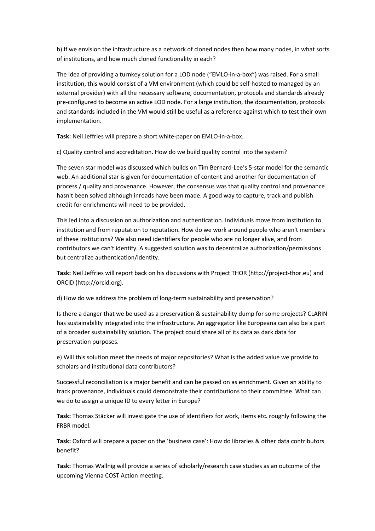b) If we envision the infrastructure as a network of cloned nodes then how many nodes, in what sorts of institutions, and how much cloned functionality in each?

The idea of providing a turnkey solution for a LOD node ("EMLO-in-a-box") was raised. For a small institution, this would consist of a VM environment (which could be self-hosted to managed by an external provider) with all the necessary software, documentation, protocols and standards already pre-configured to become an active LOD node. For a large institution, the documentation, protocols and standards included in the VM would still be useful as a reference against which to test their own implementation.

**Task:** Neil Jeffries will prepare a short white-paper on EMLO-in-a-box.

c) Quality control and accreditation. How do we build quality control into the system?

The seven star model was discussed which builds on Tim Bernard-Lee's 5-star model for the semantic web. An additional star is given for documentation of content and another for documentation of process / quality and provenance. However, the consensus was that quality control and provenance hasn't been solved although inroads have been made. A good way to capture, track and publish credit for enrichments will need to be provided.

This led into a discussion on authorization and authentication. Individuals move from institution to institution and from reputation to reputation. How do we work around people who aren't members of these institutions? We also need identifiers for people who are no longer alive, and from contributors we can't identify. A suggested solution was to decentralize authorization/permissions but centralize authentication/identity.

**Task:** Neil Jeffries will report back on his discussions with Project THOR (http://project-thor.eu) and ORCID (http://orcid.org).

d) How do we address the problem of long-term sustainability and preservation?

Is there a danger that we be used as a preservation & sustainability dump for some projects? CLARIN has sustainability integrated into the infrastructure. An aggregator like Europeana can also be a part of a broader sustainability solution. The project could share all of its data as dark data for preservation purposes.

e) Will this solution meet the needs of major repositories? What is the added value we provide to scholars and institutional data contributors?

Successful reconciliation is a major benefit and can be passed on as enrichment. Given an ability to track provenance, individuals could demonstrate their contributions to their committee. What can we do to assign a unique ID to every letter in Europe?

**Task:** Thomas Stäcker will investigate the use of identifiers for work, items etc. roughly following the FRBR model.

**Task:** Oxford will prepare a paper on the 'business case': How do libraries & other data contributors benefit?

**Task:** Thomas Wallnig will provide a series of scholarly/research case studies as an outcome of the upcoming Vienna COST Action meeting.